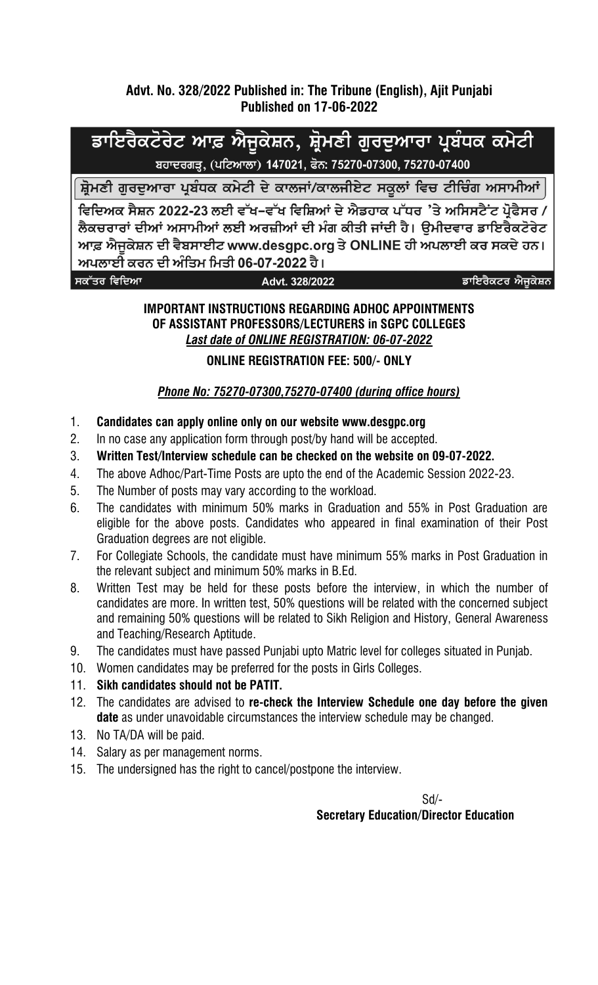### **Advt. No. 328/2022 Published in: The Tribune (English), Ajit Punjabi Published on 17-06-2022**

# ਡਾਇਰੈਕਟੋਰੇਟ ਆਫ਼ ਐਜੁਕੇਸ਼ਨ, ਸ਼੍ਰੋਮਣੀ ਗੁਰਦੁਆਰਾ ਪ੍ਰਬੰਧਕ ਕਮੇਟੀ ਬਹਾਦਰਗੜ੍ਹ, (ਪਟਿਆਲਾ) 147021, ਫੋਨ: 75270-07300, 75270-07400

ਸ਼੍ਰੋਮਣੀ ਗਰਦਆਰਾ ਪ੍ਰਬੰਧਕ ਕਮੇਟੀ ਦੇ ਕਾਲਜਾਂ/ਕਾਲਜੀਏਟ ਸਕੂਲਾਂ ਵਿਚ ਟੀਚਿੰਗ ਅਸਾਮੀਆਂ

ਵਿਦਿਅਕ ਸੈਸ਼ਨ 2022-23 ਲਈ ਵੱਖ–ਵੱਖ ਵਿਸ਼ਿਆਂ ਦੇ ਐਡਹਾਕ ਪੱਧਰ 'ਤੇ ਅਸਿਸਟੈਂਟ ਪੋਫੈਸਰ / ਲੈਕਚਰਾਰਾਂ ਦੀਆਂ ਅਸਾਮੀਆਂ ਲਈ ਅਰਜ਼ੀਆਂ ਦੀ ਮੰਗ ਕੀਤੀ ਜਾਂਦੀ ਹੈ। ੳਮੀਦਵਾਰ ਡਾਇਰੈਕਟੋਰੇਟ ਆਫ਼ ਐਜਕੇਸ਼ਨ ਦੀ ਵੈਬਸਾਈਟ www.desgpc.org ਤੇ ONLINE ਹੀ ਅਪਲਾਈ ਕਰ ਸਕਦੇ ਹਨ। ਅਪਲਾਈ ਕਰਨ ਦੀ ਅੰਤਿਮ ਮਿਤੀ 06-07-2022 ਹੈ।

ਸਕੱਤਰ ਵਿਦਿਆ

Advt. 328/2022

ਡਾਇਰੈਕਟਰ ਐਜੁਕੇਸ਼ਨ

#### **IMPORTANT INSTRUCTIONS REGARDING ADHOC APPOINTMENTS OF ASSISTANT PROFESSORS/LECTURERS in SGPC COLLEGES** *Last date of ONLINE REGISTRATION: 06-07-2022*

#### **ONLINE REGISTRATION FEE: 500/- ONLY**

## *Phone No: 75270-07300,75270-07400 (during office hours)*

- 1. **Candidates can apply online only on our website www.desgpc.org**
- 2. In no case any application form through post/by hand will be accepted.
- 3. **Written Test/Interview schedule can be checked on the website on 09-07-2022.**
- 4. The above Adhoc/Part-Time Posts are upto the end of the Academic Session 2022-23.
- 5. The Number of posts may vary according to the workload.
- 6. The candidates with minimum 50% marks in Graduation and 55% in Post Graduation are eligible for the above posts. Candidates who appeared in final examination of their Post Graduation degrees are not eligible.
- 7. For Collegiate Schools, the candidate must have minimum 55% marks in Post Graduation in the relevant subject and minimum 50% marks in B.Ed.
- 8. Written Test may be held for these posts before the interview, in which the number of candidates are more. In written test, 50% questions will be related with the concerned subject and remaining 50% questions will be related to Sikh Religion and History, General Awareness and Teaching/Research Aptitude.
- 9. The candidates must have passed Punjabi upto Matric level for colleges situated in Punjab.
- 10. Women candidates may be preferred for the posts in Girls Colleges.
- 11. **Sikh candidates should not be PATIT.**
- 12. The candidates are advised to **re-check the Interview Schedule one day before the given date** as under unavoidable circumstances the interview schedule may be changed.
- 13. No TA/DA will be paid.
- 14. Salary as per management norms.
- 15. The undersigned has the right to cancel/postpone the interview.

Sd/-

**Secretary Education/Director Education**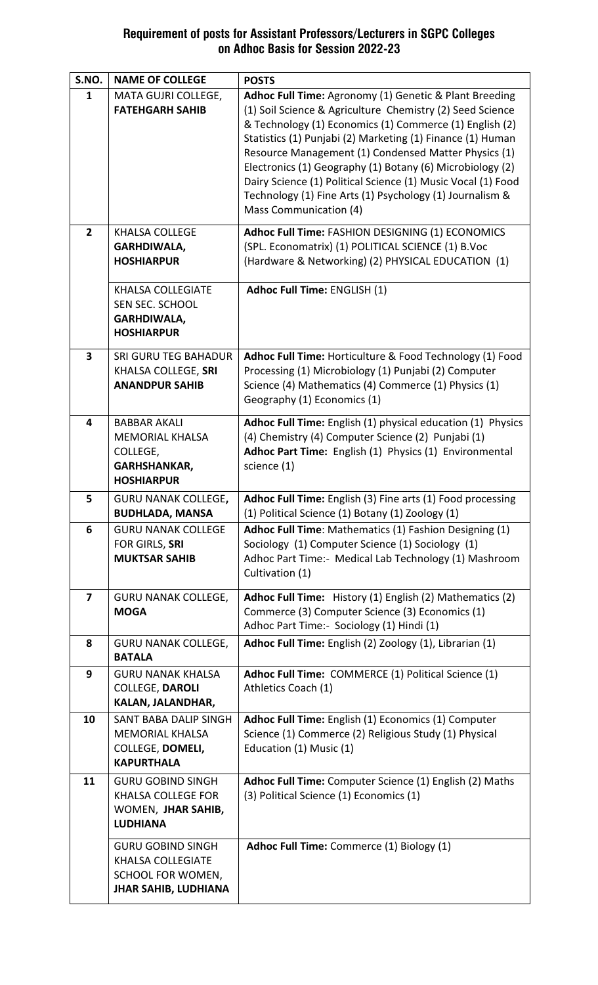#### **Requirement of posts for Assistant Professors/Lecturers in SGPC Colleges on Adhoc Basis for Session 2022-23**

| S.NO.                   | <b>NAME OF COLLEGE</b>                                                                                   | <b>POSTS</b>                                                                                                                                                                                                                                                                                                                                                                                                                                                                                                            |
|-------------------------|----------------------------------------------------------------------------------------------------------|-------------------------------------------------------------------------------------------------------------------------------------------------------------------------------------------------------------------------------------------------------------------------------------------------------------------------------------------------------------------------------------------------------------------------------------------------------------------------------------------------------------------------|
| 1                       | MATA GUJRI COLLEGE,<br><b>FATEHGARH SAHIB</b>                                                            | Adhoc Full Time: Agronomy (1) Genetic & Plant Breeding<br>(1) Soil Science & Agriculture Chemistry (2) Seed Science<br>& Technology (1) Economics (1) Commerce (1) English (2)<br>Statistics (1) Punjabi (2) Marketing (1) Finance (1) Human<br>Resource Management (1) Condensed Matter Physics (1)<br>Electronics (1) Geography (1) Botany (6) Microbiology (2)<br>Dairy Science (1) Political Science (1) Music Vocal (1) Food<br>Technology (1) Fine Arts (1) Psychology (1) Journalism &<br>Mass Communication (4) |
| $\overline{2}$          | <b>KHALSA COLLEGE</b><br><b>GARHDIWALA,</b><br><b>HOSHIARPUR</b>                                         | Adhoc Full Time: FASHION DESIGNING (1) ECONOMICS<br>(SPL. Economatrix) (1) POLITICAL SCIENCE (1) B.Voc<br>(Hardware & Networking) (2) PHYSICAL EDUCATION (1)                                                                                                                                                                                                                                                                                                                                                            |
|                         | <b>KHALSA COLLEGIATE</b><br>SEN SEC. SCHOOL<br><b>GARHDIWALA,</b><br><b>HOSHIARPUR</b>                   | Adhoc Full Time: ENGLISH (1)                                                                                                                                                                                                                                                                                                                                                                                                                                                                                            |
| $\overline{\mathbf{3}}$ | <b>SRI GURU TEG BAHADUR</b><br>KHALSA COLLEGE, SRI<br><b>ANANDPUR SAHIB</b>                              | Adhoc Full Time: Horticulture & Food Technology (1) Food<br>Processing (1) Microbiology (1) Punjabi (2) Computer<br>Science (4) Mathematics (4) Commerce (1) Physics (1)<br>Geography (1) Economics (1)                                                                                                                                                                                                                                                                                                                 |
| 4                       | <b>BABBAR AKALI</b><br><b>MEMORIAL KHALSA</b><br>COLLEGE,<br><b>GARHSHANKAR,</b><br><b>HOSHIARPUR</b>    | Adhoc Full Time: English (1) physical education (1) Physics<br>(4) Chemistry (4) Computer Science (2) Punjabi (1)<br>Adhoc Part Time: English (1) Physics (1) Environmental<br>science (1)                                                                                                                                                                                                                                                                                                                              |
| 5                       | <b>GURU NANAK COLLEGE,</b><br><b>BUDHLADA, MANSA</b>                                                     | Adhoc Full Time: English (3) Fine arts (1) Food processing<br>(1) Political Science (1) Botany (1) Zoology (1)                                                                                                                                                                                                                                                                                                                                                                                                          |
| 6                       | <b>GURU NANAK COLLEGE</b><br>FOR GIRLS, SRI<br><b>MUKTSAR SAHIB</b>                                      | <b>Adhoc Full Time:</b> Mathematics (1) Fashion Designing (1)<br>Sociology (1) Computer Science (1) Sociology (1)<br>Adhoc Part Time:- Medical Lab Technology (1) Mashroom<br>Cultivation (1)                                                                                                                                                                                                                                                                                                                           |
| $\overline{\mathbf{z}}$ | <b>GURU NANAK COLLEGE,</b><br><b>MOGA</b>                                                                | Adhoc Full Time: History (1) English (2) Mathematics (2)<br>Commerce (3) Computer Science (3) Economics (1)<br>Adhoc Part Time:- Sociology (1) Hindi (1)                                                                                                                                                                                                                                                                                                                                                                |
| 8                       | <b>GURU NANAK COLLEGE,</b><br><b>BATALA</b>                                                              | Adhoc Full Time: English (2) Zoology (1), Librarian (1)                                                                                                                                                                                                                                                                                                                                                                                                                                                                 |
| 9                       | <b>GURU NANAK KHALSA</b><br><b>COLLEGE, DAROLI</b><br>KALAN, JALANDHAR,                                  | Adhoc Full Time: COMMERCE (1) Political Science (1)<br>Athletics Coach (1)                                                                                                                                                                                                                                                                                                                                                                                                                                              |
| 10                      | SANT BABA DALIP SINGH<br><b>MEMORIAL KHALSA</b><br>COLLEGE, DOMELI,<br><b>KAPURTHALA</b>                 | Adhoc Full Time: English (1) Economics (1) Computer<br>Science (1) Commerce (2) Religious Study (1) Physical<br>Education (1) Music (1)                                                                                                                                                                                                                                                                                                                                                                                 |
| 11                      | <b>GURU GOBIND SINGH</b><br><b>KHALSA COLLEGE FOR</b><br>WOMEN, JHAR SAHIB,<br><b>LUDHIANA</b>           | Adhoc Full Time: Computer Science (1) English (2) Maths<br>(3) Political Science (1) Economics (1)                                                                                                                                                                                                                                                                                                                                                                                                                      |
|                         | <b>GURU GOBIND SINGH</b><br><b>KHALSA COLLEGIATE</b><br>SCHOOL FOR WOMEN,<br><b>JHAR SAHIB, LUDHIANA</b> | Adhoc Full Time: Commerce (1) Biology (1)                                                                                                                                                                                                                                                                                                                                                                                                                                                                               |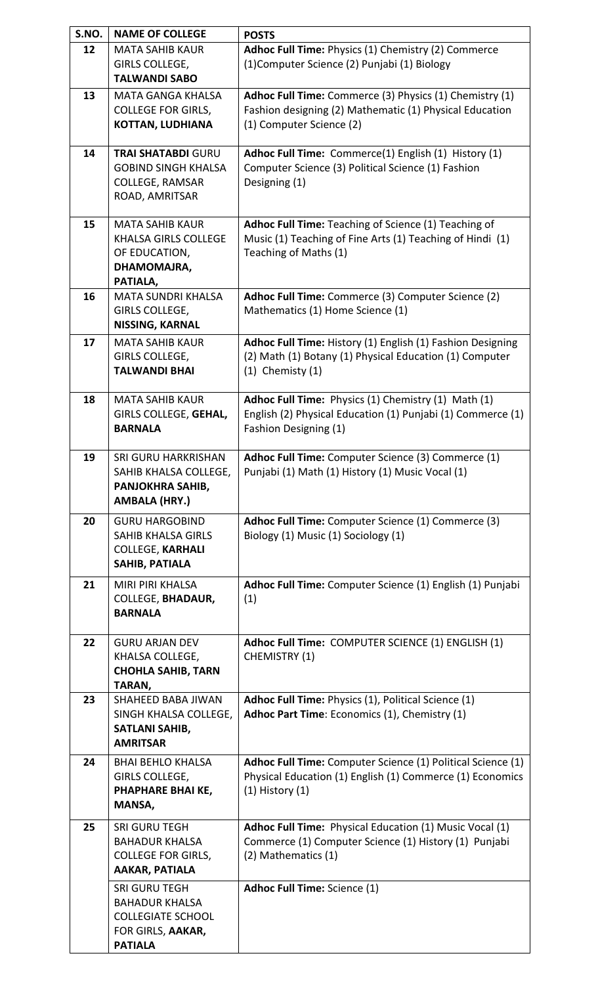| S.NO. | <b>NAME OF COLLEGE</b>                          | <b>POSTS</b>                                                                                                       |
|-------|-------------------------------------------------|--------------------------------------------------------------------------------------------------------------------|
| 12    | <b>MATA SAHIB KAUR</b>                          | Adhoc Full Time: Physics (1) Chemistry (2) Commerce                                                                |
|       | GIRLS COLLEGE,                                  | (1) Computer Science (2) Punjabi (1) Biology                                                                       |
|       | <b>TALWANDI SABO</b>                            |                                                                                                                    |
| 13    | <b>MATA GANGA KHALSA</b>                        | Adhoc Full Time: Commerce (3) Physics (1) Chemistry (1)                                                            |
|       | <b>COLLEGE FOR GIRLS,</b>                       | Fashion designing (2) Mathematic (1) Physical Education                                                            |
|       | <b>KOTTAN, LUDHIANA</b>                         | (1) Computer Science (2)                                                                                           |
|       |                                                 |                                                                                                                    |
| 14    | <b>TRAI SHATABDI GURU</b>                       | Adhoc Full Time: Commerce(1) English (1) History (1)                                                               |
|       | <b>GOBIND SINGH KHALSA</b>                      | Computer Science (3) Political Science (1) Fashion                                                                 |
|       | <b>COLLEGE, RAMSAR</b>                          | Designing (1)                                                                                                      |
|       | ROAD, AMRITSAR                                  |                                                                                                                    |
| 15    | <b>MATA SAHIB KAUR</b>                          | Adhoc Full Time: Teaching of Science (1) Teaching of                                                               |
|       | <b>KHALSA GIRLS COLLEGE</b>                     | Music (1) Teaching of Fine Arts (1) Teaching of Hindi (1)                                                          |
|       | OF EDUCATION,                                   | Teaching of Maths (1)                                                                                              |
|       | DHAMOMAJRA,                                     |                                                                                                                    |
|       | PATIALA,                                        |                                                                                                                    |
| 16    | <b>MATA SUNDRI KHALSA</b>                       | Adhoc Full Time: Commerce (3) Computer Science (2)                                                                 |
|       | GIRLS COLLEGE,                                  | Mathematics (1) Home Science (1)                                                                                   |
|       | NISSING, KARNAL                                 |                                                                                                                    |
| 17    | <b>MATA SAHIB KAUR</b>                          | Adhoc Full Time: History (1) English (1) Fashion Designing                                                         |
|       | GIRLS COLLEGE,                                  | (2) Math (1) Botany (1) Physical Education (1) Computer                                                            |
|       | <b>TALWANDI BHAI</b>                            | $(1)$ Chemisty $(1)$                                                                                               |
|       |                                                 |                                                                                                                    |
| 18    | <b>MATA SAHIB KAUR</b><br>GIRLS COLLEGE, GEHAL, | Adhoc Full Time: Physics (1) Chemistry (1) Math (1)<br>English (2) Physical Education (1) Punjabi (1) Commerce (1) |
|       | <b>BARNALA</b>                                  | Fashion Designing (1)                                                                                              |
|       |                                                 |                                                                                                                    |
| 19    | <b>SRI GURU HARKRISHAN</b>                      | Adhoc Full Time: Computer Science (3) Commerce (1)                                                                 |
|       | SAHIB KHALSA COLLEGE,                           | Punjabi (1) Math (1) History (1) Music Vocal (1)                                                                   |
|       | PANJOKHRA SAHIB,                                |                                                                                                                    |
|       | <b>AMBALA (HRY.)</b>                            |                                                                                                                    |
| 20    | <b>GURU HARGOBIND</b>                           | Adhoc Full Time: Computer Science (1) Commerce (3)                                                                 |
|       | <b>SAHIB KHALSA GIRLS</b>                       | Biology (1) Music (1) Sociology (1)                                                                                |
|       | <b>COLLEGE, KARHALI</b>                         |                                                                                                                    |
|       | SAHIB, PATIALA                                  |                                                                                                                    |
| 21    | <b>MIRI PIRI KHALSA</b>                         | Adhoc Full Time: Computer Science (1) English (1) Punjabi                                                          |
|       | <b>COLLEGE, BHADAUR,</b>                        | (1)                                                                                                                |
|       | <b>BARNALA</b>                                  |                                                                                                                    |
|       |                                                 |                                                                                                                    |
| 22    | <b>GURU ARJAN DEV</b>                           | Adhoc Full Time: COMPUTER SCIENCE (1) ENGLISH (1)                                                                  |
|       | KHALSA COLLEGE,                                 | CHEMISTRY (1)                                                                                                      |
|       | <b>CHOHLA SAHIB, TARN</b>                       |                                                                                                                    |
| 23    | TARAN,<br>SHAHEED BABA JIWAN                    | Adhoc Full Time: Physics (1), Political Science (1)                                                                |
|       | SINGH KHALSA COLLEGE,                           | Adhoc Part Time: Economics (1), Chemistry (1)                                                                      |
|       | <b>SATLANI SAHIB,</b>                           |                                                                                                                    |
|       | <b>AMRITSAR</b>                                 |                                                                                                                    |
| 24    | <b>BHAI BEHLO KHALSA</b>                        | Adhoc Full Time: Computer Science (1) Political Science (1)                                                        |
|       | GIRLS COLLEGE,                                  | Physical Education (1) English (1) Commerce (1) Economics                                                          |
|       | PHAPHARE BHAI KE,                               | $(1)$ History $(1)$                                                                                                |
|       | MANSA,                                          |                                                                                                                    |
| 25    | <b>SRI GURU TEGH</b>                            | Adhoc Full Time: Physical Education (1) Music Vocal (1)                                                            |
|       | <b>BAHADUR KHALSA</b>                           | Commerce (1) Computer Science (1) History (1) Punjabi                                                              |
|       | <b>COLLEGE FOR GIRLS,</b>                       | (2) Mathematics (1)                                                                                                |
|       | <b>AAKAR, PATIALA</b>                           |                                                                                                                    |
|       | <b>SRI GURU TEGH</b>                            | <b>Adhoc Full Time: Science (1)</b>                                                                                |
|       | <b>BAHADUR KHALSA</b>                           |                                                                                                                    |
|       | <b>COLLEGIATE SCHOOL</b>                        |                                                                                                                    |
|       | FOR GIRLS, AAKAR,                               |                                                                                                                    |
|       | <b>PATIALA</b>                                  |                                                                                                                    |